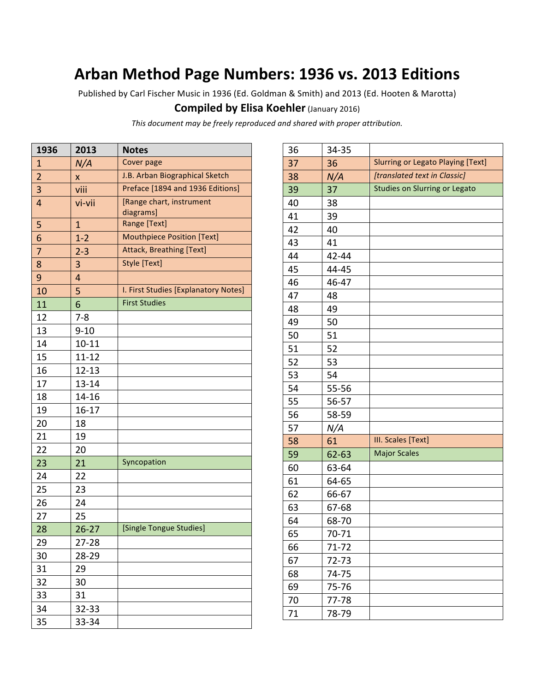# **Arban Method Page Numbers: 1936 vs. 2013 Editions**

Published by Carl Fischer Music in 1936 (Ed. Goldman & Smith) and 2013 (Ed. Hooten & Marotta)

### **Compiled by Elisa Koehler (January 2016)**

*This document may be freely reproduced and shared with proper attribution.*

| 1936           | 2013        | <b>Notes</b>                         |
|----------------|-------------|--------------------------------------|
| 1              | N/A         | Cover page                           |
| $\overline{2}$ | x           | J.B. Arban Biographical Sketch       |
| 3              | viii        | Preface [1894 and 1936 Editions]     |
| $\overline{4}$ | vi-vii      | [Range chart, instrument             |
|                |             | diagrams]                            |
| 5              | $\mathbf 1$ | Range [Text]                         |
| 6              | $1-2$       | <b>Mouthpiece Position [Text]</b>    |
| 7              | $2 - 3$     | <b>Attack, Breathing [Text]</b>      |
| 8              | 3           | Style [Text]                         |
| 9              | 4           |                                      |
| 10             | 5           | I. First Studies [Explanatory Notes] |
| 11             | 6           | <b>First Studies</b>                 |
| 12             | $7 - 8$     |                                      |
| 13             | $9 - 10$    |                                      |
| 14             | $10 - 11$   |                                      |
| 15             | $11 - 12$   |                                      |
| 16             | $12 - 13$   |                                      |
| 17             | $13 - 14$   |                                      |
| 18             | 14-16       |                                      |
| 19             | $16-17$     |                                      |
| 20             | 18          |                                      |
| 21             | 19          |                                      |
| 22             | 20          |                                      |
| 23             | 21          | Syncopation                          |
| 24             | 22          |                                      |
| 25             | 23          |                                      |
| 26             | 24          |                                      |
| 27             | 25          |                                      |
| 28             | $26 - 27$   | [Single Tongue Studies]              |
| 29             | 27-28       |                                      |
| 30             | 28-29       |                                      |
| 31             | 29          |                                      |
| 32             | 30          |                                      |
| 33             | 31          |                                      |
| 34             | 32-33       |                                      |
| 35             | 33-34       |                                      |

| 36 | 34-35 |                                          |
|----|-------|------------------------------------------|
| 37 | 36    | <b>Slurring or Legato Playing [Text]</b> |
| 38 | N/A   | [translated text in Classic]             |
| 39 | 37    | Studies on Slurring or Legato            |
| 40 | 38    |                                          |
| 41 | 39    |                                          |
| 42 | 40    |                                          |
| 43 | 41    |                                          |
| 44 | 42-44 |                                          |
| 45 | 44-45 |                                          |
| 46 | 46-47 |                                          |
| 47 | 48    |                                          |
| 48 | 49    |                                          |
| 49 | 50    |                                          |
| 50 | 51    |                                          |
| 51 | 52    |                                          |
| 52 | 53    |                                          |
| 53 | 54    |                                          |
| 54 | 55-56 |                                          |
| 55 | 56-57 |                                          |
| 56 | 58-59 |                                          |
| 57 | N/A   |                                          |
| 58 | 61    | III. Scales [Text]                       |
| 59 | 62-63 | <b>Major Scales</b>                      |
| 60 | 63-64 |                                          |
| 61 | 64-65 |                                          |
| 62 | 66-67 |                                          |
| 63 | 67-68 |                                          |
| 64 | 68-70 |                                          |
| 65 | 70-71 |                                          |
| 66 | 71-72 |                                          |
| 67 | 72-73 |                                          |
| 68 | 74-75 |                                          |
| 69 | 75-76 |                                          |
| 70 | 77-78 |                                          |
| 71 | 78-79 |                                          |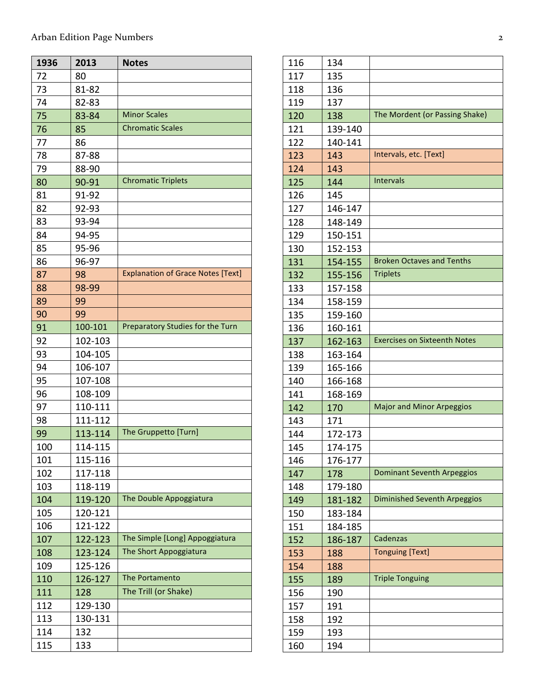| 1936 | 2013    | <b>Notes</b>                             |
|------|---------|------------------------------------------|
| 72   | 80      |                                          |
| 73   | 81-82   |                                          |
| 74   | 82-83   |                                          |
| 75   | 83-84   | <b>Minor Scales</b>                      |
| 76   | 85      | <b>Chromatic Scales</b>                  |
| 77   | 86      |                                          |
| 78   | 87-88   |                                          |
| 79   | 88-90   |                                          |
| 80   | 90-91   | <b>Chromatic Triplets</b>                |
| 81   | 91-92   |                                          |
| 82   | 92-93   |                                          |
| 83   | 93-94   |                                          |
| 84   | 94-95   |                                          |
| 85   | 95-96   |                                          |
| 86   | 96-97   |                                          |
| 87   | 98      | <b>Explanation of Grace Notes [Text]</b> |
| 88   | 98-99   |                                          |
| 89   | 99      |                                          |
| 90   | 99      |                                          |
| 91   | 100-101 | Preparatory Studies for the Turn         |
| 92   | 102-103 |                                          |
| 93   | 104-105 |                                          |
| 94   | 106-107 |                                          |
| 95   | 107-108 |                                          |
| 96   | 108-109 |                                          |
| 97   | 110-111 |                                          |
| 98   | 111-112 |                                          |
| 99   | 113-114 | The Gruppetto [Turn]                     |
| 100  | 114-115 |                                          |
| 101  | 115-116 |                                          |
| 102  | 117-118 |                                          |
| 103  | 118-119 |                                          |
| 104  | 119-120 | The Double Appoggiatura                  |
| 105  | 120-121 |                                          |
| 106  | 121-122 |                                          |
| 107  | 122-123 | The Simple [Long] Appoggiatura           |
| 108  | 123-124 | The Short Appoggiatura                   |
| 109  | 125-126 |                                          |
| 110  | 126-127 | The Portamento                           |
| 111  | 128     | The Trill (or Shake)                     |
| 112  | 129-130 |                                          |
| 113  | 130-131 |                                          |
| 114  | 132     |                                          |
| 115  | 133     |                                          |

| 116 | 134     |                                     |
|-----|---------|-------------------------------------|
| 117 | 135     |                                     |
| 118 | 136     |                                     |
| 119 | 137     |                                     |
| 120 | 138     | The Mordent (or Passing Shake)      |
| 121 | 139-140 |                                     |
| 122 | 140-141 |                                     |
| 123 | 143     | Intervals, etc. [Text]              |
| 124 | 143     |                                     |
| 125 | 144     | Intervals                           |
| 126 | 145     |                                     |
| 127 | 146-147 |                                     |
| 128 | 148-149 |                                     |
| 129 | 150-151 |                                     |
| 130 | 152-153 |                                     |
| 131 | 154-155 | <b>Broken Octaves and Tenths</b>    |
| 132 | 155-156 | <b>Triplets</b>                     |
| 133 | 157-158 |                                     |
| 134 | 158-159 |                                     |
| 135 | 159-160 |                                     |
| 136 | 160-161 |                                     |
| 137 | 162-163 | <b>Exercises on Sixteenth Notes</b> |
| 138 | 163-164 |                                     |
| 139 | 165-166 |                                     |
| 140 | 166-168 |                                     |
| 141 | 168-169 |                                     |
| 142 | 170     | <b>Major and Minor Arpeggios</b>    |
| 143 | 171     |                                     |
| 144 | 172-173 |                                     |
| 145 | 174-175 |                                     |
| 146 | 176-177 |                                     |
| 147 | 178     | <b>Dominant Seventh Arpeggios</b>   |
| 148 | 179-180 |                                     |
| 149 | 181-182 | <b>Diminished Seventh Arpeggios</b> |
| 150 | 183-184 |                                     |
| 151 | 184-185 |                                     |
| 152 | 186-187 | Cadenzas                            |
| 153 | 188     | <b>Tonguing [Text]</b>              |
| 154 | 188     |                                     |
| 155 | 189     | <b>Triple Tonguing</b>              |
| 156 | 190     |                                     |
| 157 | 191     |                                     |
| 158 | 192     |                                     |
| 159 | 193     |                                     |
| 160 | 194     |                                     |
|     |         |                                     |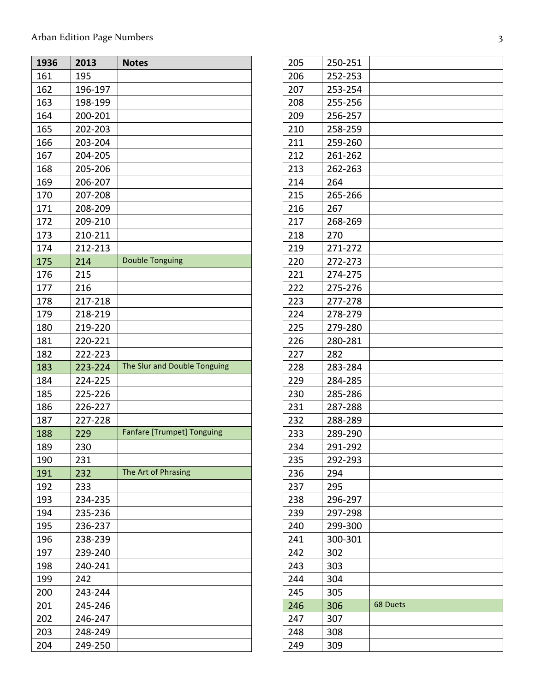## Arban Edition Page Numbers 3

| 1936 | 2013    | <b>Notes</b>                      |
|------|---------|-----------------------------------|
| 161  | 195     |                                   |
| 162  | 196-197 |                                   |
| 163  | 198-199 |                                   |
| 164  | 200-201 |                                   |
| 165  | 202-203 |                                   |
| 166  | 203-204 |                                   |
| 167  | 204-205 |                                   |
| 168  | 205-206 |                                   |
| 169  | 206-207 |                                   |
| 170  | 207-208 |                                   |
| 171  | 208-209 |                                   |
| 172  | 209-210 |                                   |
| 173  | 210-211 |                                   |
| 174  | 212-213 |                                   |
| 175  | 214     | <b>Double Tonguing</b>            |
| 176  | 215     |                                   |
| 177  | 216     |                                   |
| 178  | 217-218 |                                   |
| 179  | 218-219 |                                   |
| 180  | 219-220 |                                   |
| 181  | 220-221 |                                   |
| 182  | 222-223 |                                   |
| 183  | 223-224 | The Slur and Double Tonguing      |
| 184  | 224-225 |                                   |
| 185  | 225-226 |                                   |
| 186  | 226-227 |                                   |
| 187  | 227-228 |                                   |
| 188  | 229     | <b>Fanfare [Trumpet] Tonguing</b> |
| 189  | 230     |                                   |
| 190  | 231     |                                   |
| 191  | 232     | The Art of Phrasing               |
| 192  | 233     |                                   |
| 193  | 234-235 |                                   |
| 194  | 235-236 |                                   |
| 195  | 236-237 |                                   |
| 196  | 238-239 |                                   |
| 197  | 239-240 |                                   |
| 198  | 240-241 |                                   |
| 199  | 242     |                                   |
| 200  | 243-244 |                                   |
| 201  | 245-246 |                                   |
| 202  | 246-247 |                                   |
| 203  | 248-249 |                                   |
| 204  | 249-250 |                                   |

| 205<br>250-251<br>206<br>252-253<br>207<br>253-254<br>208<br>255-256<br>256-257<br>209<br>210<br>258-259<br>211<br>259-260<br>212<br>261-262<br>213<br>262-263<br>214<br>264<br>215<br>265-266<br>216<br>267<br>217<br>268-269<br>218<br>270<br>219<br>271-272<br>220<br>272-273<br>221<br>274-275<br>222<br>275-276<br>223<br>277-278<br>224<br>278-279 |  |
|----------------------------------------------------------------------------------------------------------------------------------------------------------------------------------------------------------------------------------------------------------------------------------------------------------------------------------------------------------|--|
|                                                                                                                                                                                                                                                                                                                                                          |  |
|                                                                                                                                                                                                                                                                                                                                                          |  |
|                                                                                                                                                                                                                                                                                                                                                          |  |
|                                                                                                                                                                                                                                                                                                                                                          |  |
|                                                                                                                                                                                                                                                                                                                                                          |  |
|                                                                                                                                                                                                                                                                                                                                                          |  |
|                                                                                                                                                                                                                                                                                                                                                          |  |
|                                                                                                                                                                                                                                                                                                                                                          |  |
|                                                                                                                                                                                                                                                                                                                                                          |  |
|                                                                                                                                                                                                                                                                                                                                                          |  |
|                                                                                                                                                                                                                                                                                                                                                          |  |
|                                                                                                                                                                                                                                                                                                                                                          |  |
|                                                                                                                                                                                                                                                                                                                                                          |  |
|                                                                                                                                                                                                                                                                                                                                                          |  |
|                                                                                                                                                                                                                                                                                                                                                          |  |
|                                                                                                                                                                                                                                                                                                                                                          |  |
|                                                                                                                                                                                                                                                                                                                                                          |  |
|                                                                                                                                                                                                                                                                                                                                                          |  |
|                                                                                                                                                                                                                                                                                                                                                          |  |
|                                                                                                                                                                                                                                                                                                                                                          |  |
| 225<br>279-280                                                                                                                                                                                                                                                                                                                                           |  |
| 226<br>280-281                                                                                                                                                                                                                                                                                                                                           |  |
| 227<br>282                                                                                                                                                                                                                                                                                                                                               |  |
| 228<br>283-284                                                                                                                                                                                                                                                                                                                                           |  |
| 229<br>284-285                                                                                                                                                                                                                                                                                                                                           |  |
| 230<br>285-286                                                                                                                                                                                                                                                                                                                                           |  |
| 231<br>287-288                                                                                                                                                                                                                                                                                                                                           |  |
| 232<br>288-289                                                                                                                                                                                                                                                                                                                                           |  |
| 233<br>289-290                                                                                                                                                                                                                                                                                                                                           |  |
| 234<br>291-292                                                                                                                                                                                                                                                                                                                                           |  |
| 235<br>292-293                                                                                                                                                                                                                                                                                                                                           |  |
| 236<br>294                                                                                                                                                                                                                                                                                                                                               |  |
| 237<br>295                                                                                                                                                                                                                                                                                                                                               |  |
| 238<br>296-297                                                                                                                                                                                                                                                                                                                                           |  |
| 239<br>297-298                                                                                                                                                                                                                                                                                                                                           |  |
| 240<br>299-300                                                                                                                                                                                                                                                                                                                                           |  |
| 241<br>300-301                                                                                                                                                                                                                                                                                                                                           |  |
| 242<br>302                                                                                                                                                                                                                                                                                                                                               |  |
| 243<br>303                                                                                                                                                                                                                                                                                                                                               |  |
| 244<br>304                                                                                                                                                                                                                                                                                                                                               |  |
| 245<br>305                                                                                                                                                                                                                                                                                                                                               |  |
| <b>68 Duets</b><br>246<br>306                                                                                                                                                                                                                                                                                                                            |  |
| 247<br>307                                                                                                                                                                                                                                                                                                                                               |  |
| 248<br>308                                                                                                                                                                                                                                                                                                                                               |  |
| 249<br>309                                                                                                                                                                                                                                                                                                                                               |  |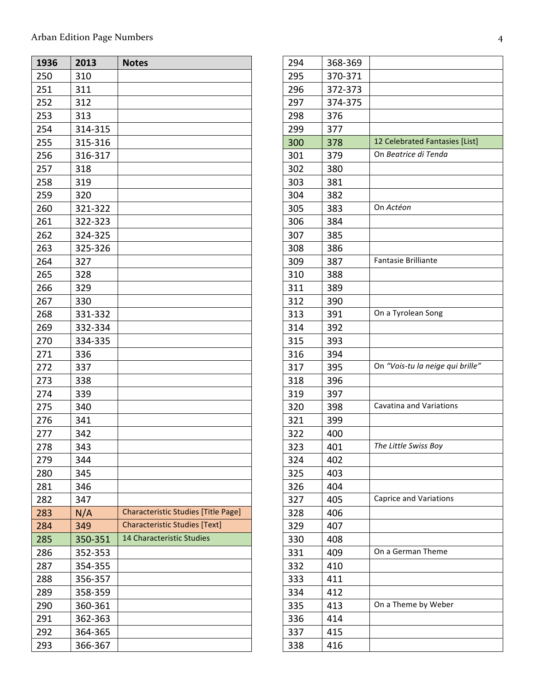## Arban Edition Page Numbers 4

| 1936 | 2013    | <b>Notes</b>                               |
|------|---------|--------------------------------------------|
| 250  | 310     |                                            |
| 251  | 311     |                                            |
| 252  | 312     |                                            |
| 253  | 313     |                                            |
| 254  | 314-315 |                                            |
| 255  | 315-316 |                                            |
| 256  | 316-317 |                                            |
| 257  | 318     |                                            |
| 258  | 319     |                                            |
| 259  | 320     |                                            |
| 260  | 321-322 |                                            |
| 261  | 322-323 |                                            |
| 262  | 324-325 |                                            |
| 263  | 325-326 |                                            |
| 264  | 327     |                                            |
| 265  | 328     |                                            |
| 266  | 329     |                                            |
| 267  | 330     |                                            |
| 268  | 331-332 |                                            |
| 269  | 332-334 |                                            |
| 270  | 334-335 |                                            |
| 271  | 336     |                                            |
| 272  | 337     |                                            |
| 273  | 338     |                                            |
| 274  | 339     |                                            |
| 275  | 340     |                                            |
| 276  | 341     |                                            |
| 277  | 342     |                                            |
| 278  | 343     |                                            |
| 279  | 344     |                                            |
| 280  | 345     |                                            |
| 281  | 346     |                                            |
| 282  | 347     |                                            |
| 283  | N/A     | <b>Characteristic Studies [Title Page]</b> |
| 284  | 349     | <b>Characteristic Studies [Text]</b>       |
| 285  | 350-351 | 14 Characteristic Studies                  |
| 286  | 352-353 |                                            |
| 287  | 354-355 |                                            |
| 288  | 356-357 |                                            |
| 289  | 358-359 |                                            |
| 290  | 360-361 |                                            |
| 291  | 362-363 |                                            |
| 292  | 364-365 |                                            |
| 293  | 366-367 |                                            |

| 294 | 368-369 |                                  |
|-----|---------|----------------------------------|
| 295 | 370-371 |                                  |
| 296 | 372-373 |                                  |
| 297 | 374-375 |                                  |
| 298 | 376     |                                  |
| 299 | 377     |                                  |
| 300 | 378     | 12 Celebrated Fantasies [List]   |
| 301 | 379     | On Beatrice di Tenda             |
| 302 | 380     |                                  |
| 303 | 381     |                                  |
| 304 | 382     |                                  |
| 305 | 383     | On Actéon                        |
| 306 | 384     |                                  |
| 307 | 385     |                                  |
| 308 | 386     |                                  |
| 309 | 387     | Fantasie Brilliante              |
| 310 | 388     |                                  |
| 311 | 389     |                                  |
| 312 | 390     |                                  |
| 313 | 391     | On a Tyrolean Song               |
| 314 | 392     |                                  |
| 315 | 393     |                                  |
| 316 | 394     |                                  |
| 317 | 395     | On "Vois-tu la neige qui brille" |
| 318 | 396     |                                  |
| 319 | 397     |                                  |
| 320 | 398     | Cavatina and Variations          |
| 321 | 399     |                                  |
| 322 | 400     |                                  |
| 323 | 401     | The Little Swiss Boy             |
| 324 | 402     |                                  |
| 325 | 403     |                                  |
| 326 | 404     |                                  |
| 327 | 405     | <b>Caprice and Variations</b>    |
| 328 | 406     |                                  |
| 329 | 407     |                                  |
| 330 | 408     |                                  |
| 331 | 409     | On a German Theme                |
| 332 | 410     |                                  |
| 333 | 411     |                                  |
| 334 | 412     |                                  |
| 335 | 413     | On a Theme by Weber              |
| 336 | 414     |                                  |
| 337 | 415     |                                  |
| 338 | 416     |                                  |